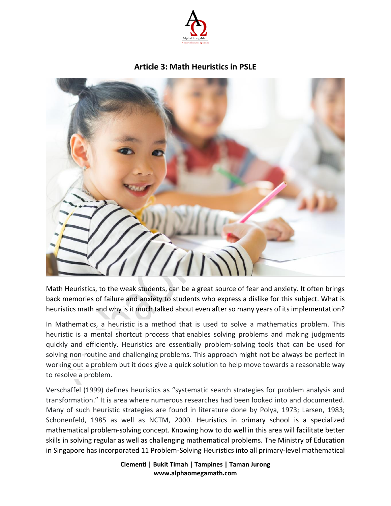

## **Article 3: Math Heuristics in PSLE**



Math Heuristics, to the weak students, can be a great source of fear and anxiety. It often brings back memories of failure and anxiety to students who express a dislike for this subject. What is heuristics math and why is it much talked about even after so many years of its implementation?

In Mathematics, a heuristic is a method that is used to solve a mathematics problem. This heuristic is a mental shortcut process that enables solving problems and making judgments quickly and efficiently. Heuristics are essentially problem-solving tools that can be used for solving non-routine and challenging problems. This approach might not be always be perfect in working out a problem but it does give a quick solution to help move towards a reasonable way to resolve a problem.

Verschaffel (1999) defines heuristics as "systematic search strategies for problem analysis and transformation." It is area where numerous researches had been looked into and documented. Many of such heuristic strategies are found in literature done by Polya, 1973; Larsen, 1983; Schonenfeld, 1985 as well as NCTM, 2000. Heuristics in primary school is a specialized mathematical problem-solving concept. Knowing how to do well in this area will facilitate better skills in solving regular as well as challenging mathematical problems. The Ministry of Education in Singapore has incorporated 11 Problem-Solving Heuristics into all primary-level mathematical

> **Clementi | Bukit Timah | Tampines | Taman Jurong www.alphaomegamath.com**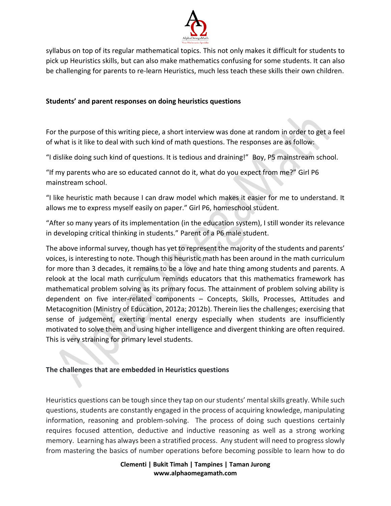

syllabus on top of its regular mathematical topics. This not only makes it difficult for students to pick up Heuristics skills, but can also make mathematics confusing for some students. It can also be challenging for parents to re-learn Heuristics, much less teach these skills their own children.

## **Students' and parent responses on doing heuristics questions**

For the purpose of this writing piece, a short interview was done at random in order to get a feel of what is it like to deal with such kind of math questions. The responses are as follow:

"I dislike doing such kind of questions. It is tedious and draining!" Boy, P5 mainstream school.

"If my parents who are so educated cannot do it, what do you expect from me?" Girl P6 mainstream school.

"I like heuristic math because I can draw model which makes it easier for me to understand. It allows me to express myself easily on paper." Girl P6, homeschool student.

"After so many years of its implementation (in the education system), I still wonder its relevance in developing critical thinking in students." Parent of a P6 male student.

The above informal survey, though has yet to represent the majority of the students and parents' voices, is interesting to note. Though this heuristic math has been around in the math curriculum for more than 3 decades, it remains to be a love and hate thing among students and parents. A relook at the local math curriculum reminds educators that this mathematics framework has mathematical problem solving as its primary focus. The attainment of problem solving ability is dependent on five inter-related components – Concepts, Skills, Processes, Attitudes and Metacognition (Ministry of Education, 2012a; 2012b). Therein lies the challenges; exercising that sense of judgement, exerting mental energy especially when students are insufficiently motivated to solve them and using higher intelligence and divergent thinking are often required. This is very straining for primary level students.

## **The challenges that are embedded in Heuristics questions**

Heuristics questions can be tough since they tap on our students' mental skills greatly. While such questions, students are constantly engaged in the process of acquiring knowledge, manipulating information, reasoning and problem-solving. The process of doing such questions certainly requires focused attention, deductive and inductive reasoning as well as a strong working memory. Learning has always been a stratified process. Any student will need to progress slowly from mastering the basics of number operations before becoming possible to learn how to do

> **Clementi | Bukit Timah | Tampines | Taman Jurong www.alphaomegamath.com**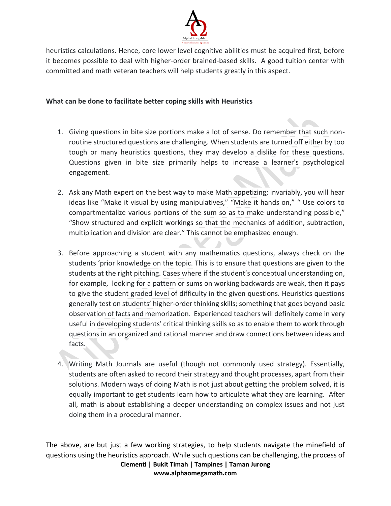

heuristics calculations. Hence, core lower level cognitive abilities must be acquired first, before it becomes possible to deal with higher-order brained-based skills. A good tuition center with committed and math veteran teachers will help students greatly in this aspect.

## **What can be done to facilitate better coping skills with Heuristics**

- 1. Giving questions in bite size portions make a lot of sense. Do remember that such nonroutine structured questions are challenging. When students are turned off either by too tough or many heuristics questions, they may develop a dislike for these questions. Questions given in bite size primarily helps to increase a learner's psychological engagement.
- 2. Ask any Math expert on the best way to make Math appetizing; invariably, you will hear ideas like "Make it visual by using manipulatives," "Make it hands on," " Use colors to compartmentalize various portions of the sum so as to make understanding possible," "Show structured and explicit workings so that the mechanics of addition, subtraction, multiplication and division are clear." This cannot be emphasized enough.
- 3. Before approaching a student with any mathematics questions, always check on the students 'prior knowledge on the topic. This is to ensure that questions are given to the students at the right pitching. Cases where if the student's conceptual understanding on, for example, looking for a pattern or sums on working backwards are weak, then it pays to give the student graded level of difficulty in the given questions. Heuristics questions generally test on students' higher-order thinking skills; something that goes beyond basic observation of facts and memorization. Experienced teachers will definitely come in very useful in developing students' critical thinking skills so as to enable them to work through questions in an organized and rational manner and draw connections between ideas and facts.
- 4. Writing Math Journals are useful (though not commonly used strategy). Essentially, students are often asked to record their strategy and thought processes, apart from their solutions. Modern ways of doing Math is not just about getting the problem solved, it is equally important to get students learn how to articulate what they are learning. After all, math is about establishing a deeper understanding on complex issues and not just doing them in a procedural manner.

**Clementi | Bukit Timah | Tampines | Taman Jurong www.alphaomegamath.com** The above, are but just a few working strategies, to help students navigate the minefield of questions using the heuristics approach. While such questions can be challenging, the process of